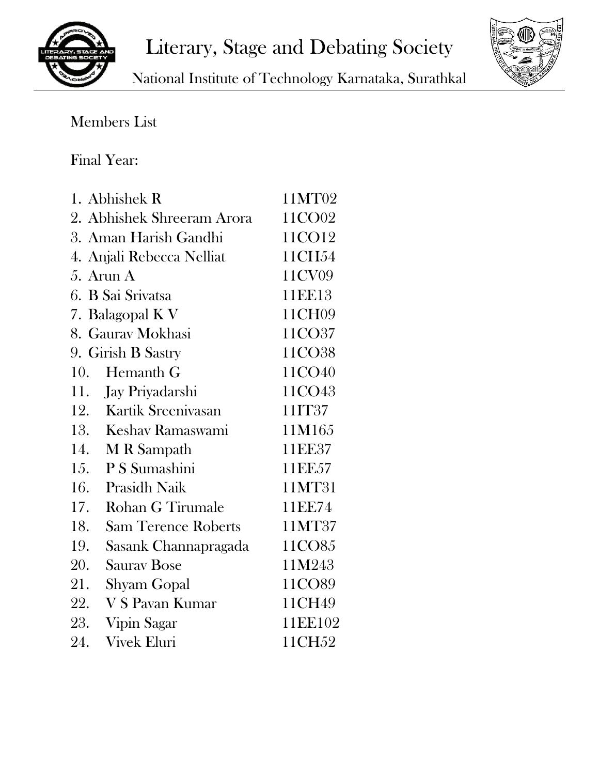



National Institute of Technology Karnataka, Surathkal

## Members List

## Final Year:

| 1. Abhishek R                     | 11MT02  |
|-----------------------------------|---------|
| 2. Abhishek Shreeram Arora        | 11CO02  |
| 3. Aman Harish Gandhi             | 11CO12  |
| 4. Anjali Rebecca Nelliat         | 11CH54  |
| 5. Arun $A$                       | 11CV09  |
| 6. B Sai Srivatsa                 | 11EE13  |
| 7. Balagopal K V                  | 11CH09  |
| 8. Gaurav Mokhasi                 | 11CO37  |
| 9. Girish B Sastry                | 11CO38  |
| 10.<br>Hemanth G                  | 11CO40  |
| 11. Jay Priyadarshi               | 11CO43  |
| Kartik Sreenivasan<br>12.         | 11IT37  |
| 13.<br>Keshav Ramaswami           | 11M165  |
| 14.<br>M R Sampath                | 11EE37  |
| 15.<br>P S Sumashini              | 11EE57  |
| 16.<br><b>Prasidh Naik</b>        | 11MT31  |
| <b>Rohan G Tirumale</b><br>17.    | 11EE74  |
| 18.<br><b>Sam Terence Roberts</b> | 11MT37  |
| 19.<br>Sasank Channapragada       | 11CO85  |
| 20.<br><b>Saurav Bose</b>         | 11M243  |
| 21.<br><b>Shyam Gopal</b>         | 11CO89  |
| 22.<br>V S Pavan Kumar            | 11CH49  |
| 23.<br>Vipin Sagar                | 11EE102 |
| 24.<br><b>Vivek Eluri</b>         | 11CH52  |